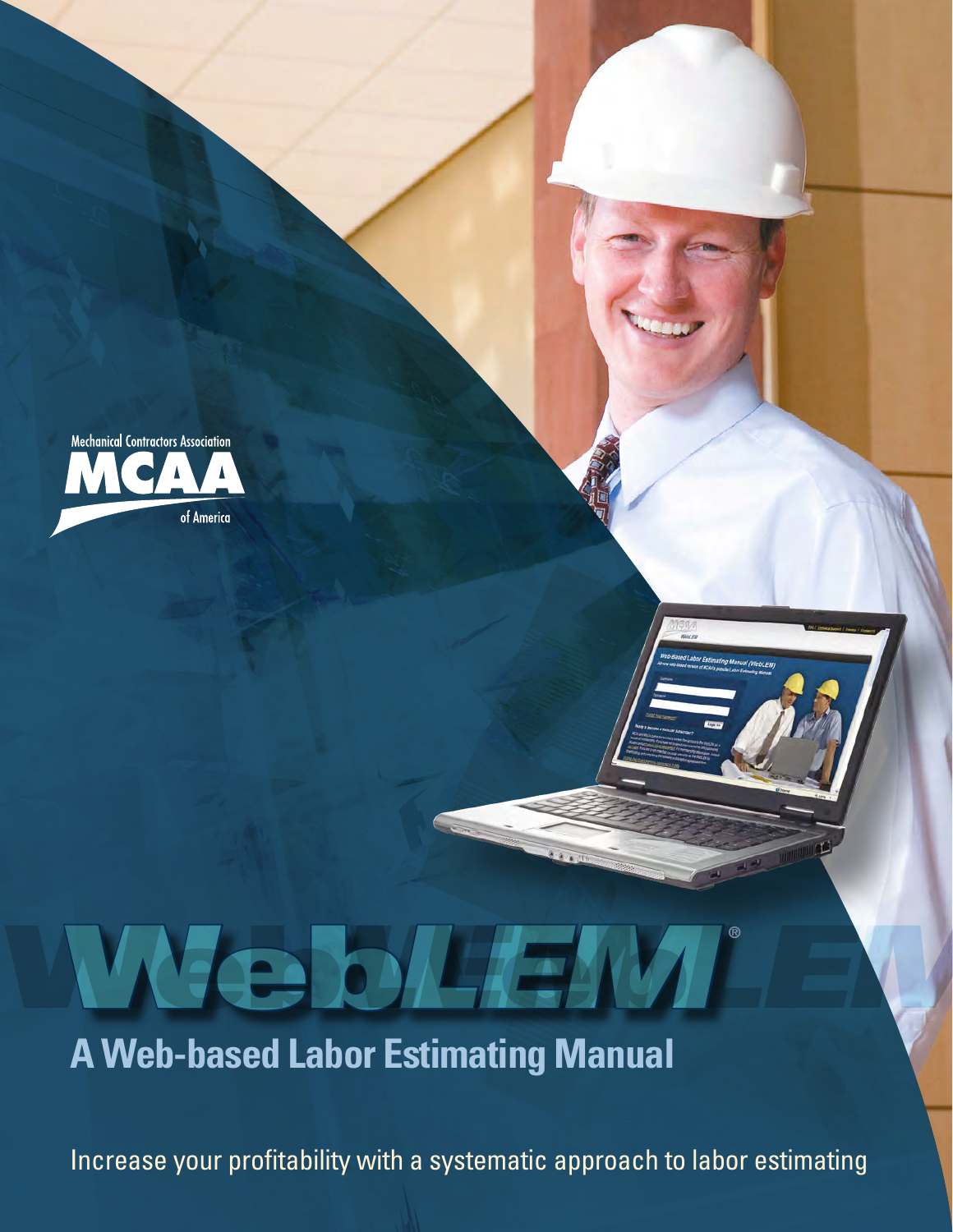

# Web Web *LEM*Web *LEMLEM* ®**A Web-based Labor Estimating Manual**

Increase your profitability with a systematic approach to labor estimating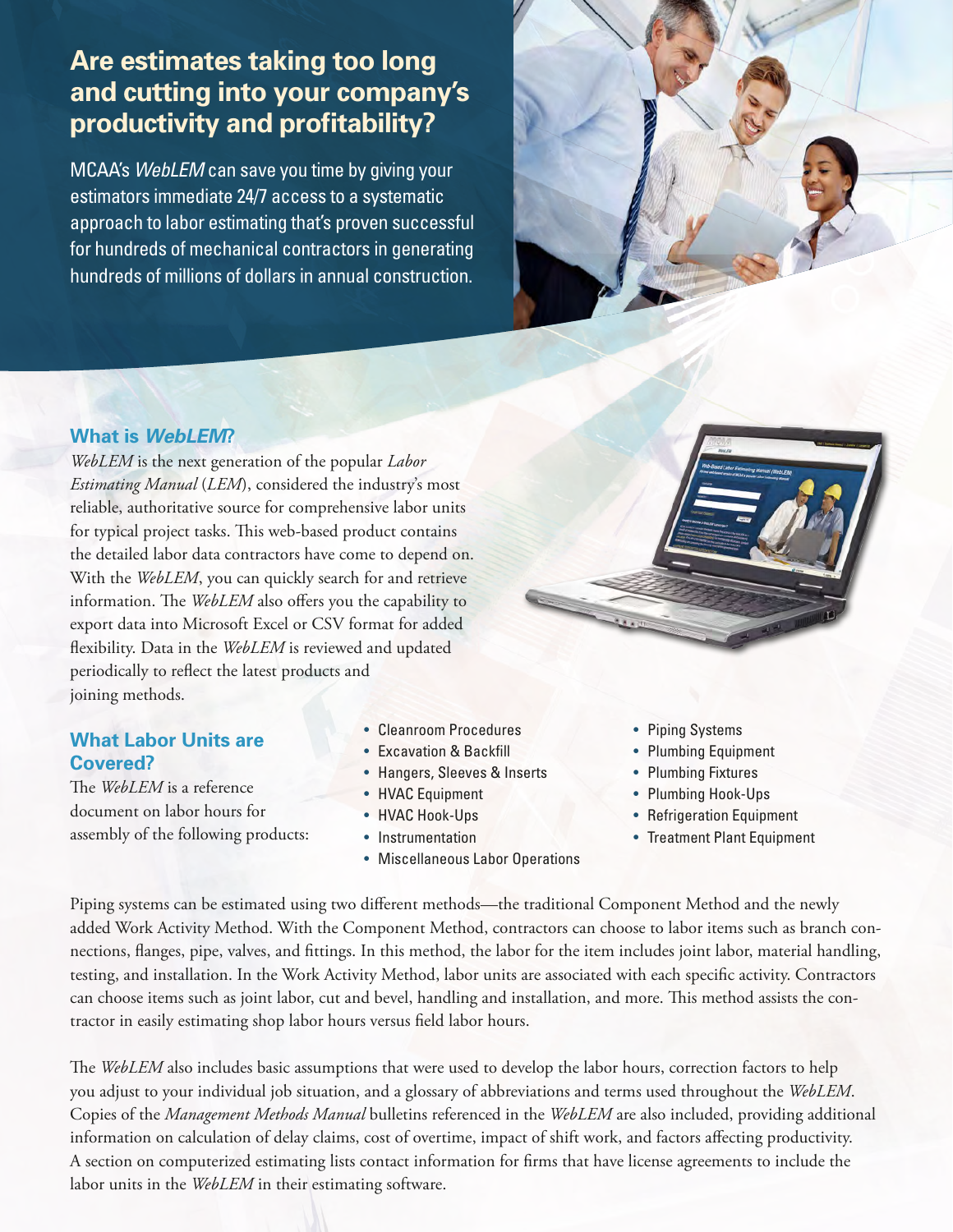# **Are estimates taking too long and cutting into your company's productivity and profitability?**

MCAA's *WebLEM* can save you time by giving your estimators immediate 24/7 access to a systematic approach to labor estimating that's proven successful for hundreds of mechanical contractors in generating hundreds of millions of dollars in annual construction.



## **What is** *WebLEM***?**

*WebLEM* is the next generation of the popular *Labor Estimating Manual* (*LEM*), considered the industry's most reliable, authoritative source for comprehensive labor units for typical project tasks. This web-based product contains the detailed labor data contractors have come to depend on. With the *WebLEM*, you can quickly search for and retrieve information. The *WebLEM* also offers you the capability to export data into Microsoft Excel or CSV format for added flexibility. Data in the *WebLEM* is reviewed and updated periodically to reflect the latest products and joining methods.

## **What Labor Units are Covered?**

The *WebLEM* is a reference document on labor hours for assembly of the following products:

- Cleanroom Procedures
- Excavation & Backfill
- Hangers, Sleeves & Inserts
- HVAC Equipment
- HVAC Hook-Ups
- Instrumentation
- Miscellaneous Labor Operations
- Piping Systems
- Plumbing Equipment
- Plumbing Fixtures
- Plumbing Hook-Ups
- Refrigeration Equipment
- Treatment Plant Equipment

Piping systems can be estimated using two different methods—the traditional Component Method and the newly added Work Activity Method. With the Component Method, contractors can choose to labor items such as branch connections, flanges, pipe, valves, and fittings. In this method, the labor for the item includes joint labor, material handling, testing, and installation. In the Work Activity Method, labor units are associated with each specific activity. Contractors can choose items such as joint labor, cut and bevel, handling and installation, and more. This method assists the contractor in easily estimating shop labor hours versus field labor hours.

The *WebLEM* also includes basic assumptions that were used to develop the labor hours, correction factors to help you adjust to your individual job situation, and a glossary of abbreviations and terms used throughout the *WebLEM*. Copies of the *Management Methods Manual* bulletins referenced in the *WebLEM* are also included, providing additional information on calculation of delay claims, cost of overtime, impact of shift work, and factors affecting productivity. A section on computerized estimating lists contact information for firms that have license agreements to include the labor units in the *WebLEM* in their estimating software.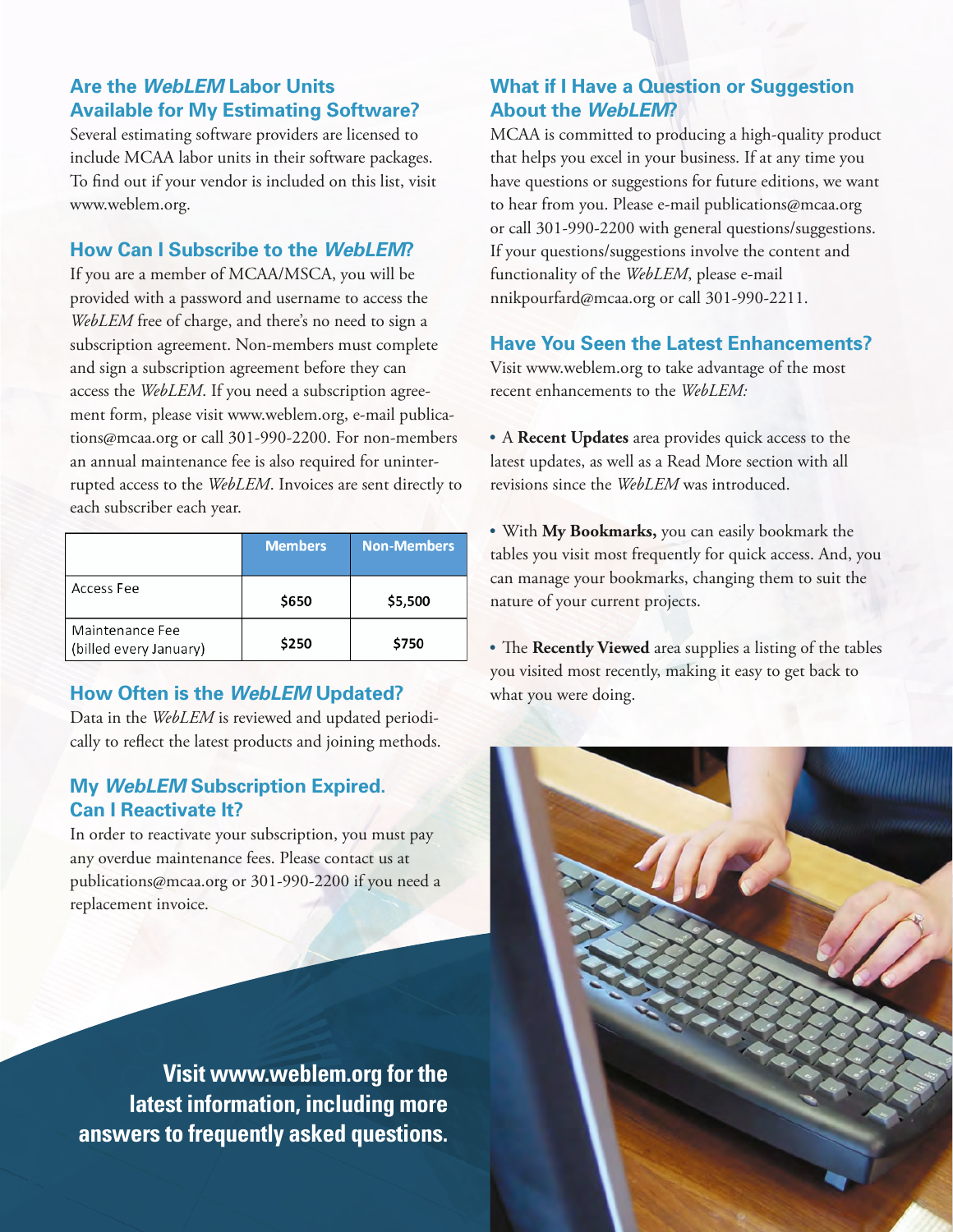# **Are the** *WebLEM* **Labor Units Available for My Estimating Software?**

Several estimating software providers are licensed to include MCAA labor units in their software packages. To find out if your vendor is included on this list, visit www.weblem.org.

# **How Can I Subscribe to the** *WebLEM***?**

If you are a member of MCAA/MSCA, you will be provided with a password and username to access the *WebLEM* free of charge, and there's no need to sign a subscription agreement. Non-members must complete and sign a subscription agreement before they can access the *WebLEM*. If you need a subscription agreement form, please visit www.weblem.org, e-mail publications@mcaa.org or call 301-990-2200. For non-members an annual maintenance fee is also required for uninterrupted access to the *WebLEM*. Invoices are sent directly to each subscriber each year.

|                                           | <b>Members</b> | <b>Non-Members</b> |
|-------------------------------------------|----------------|--------------------|
| Access Fee                                | \$650          | \$5,500            |
| Maintenance Fee<br>(billed every January) | \$250          | \$750              |

# **How Often is the** *WebLEM* **Updated?**

Data in the *WebLEM* is reviewed and updated periodically to reflect the latest products and joining methods.

# **My** *WebLEM* **Subscription Expired. Can I Reactivate It?**

In order to reactivate your subscription, you must pay any overdue maintenance fees. Please contact us at publications@mcaa.org or 301-990-2200 if you need a replacement invoice.

**Visit www.weblem.org for the latest information, including more answers to frequently asked questions.**

# **What if I Have a Question or Suggestion About the** *WebLEM***?**

MCAA is committed to producing a high-quality product that helps you excel in your business. If at any time you have questions or suggestions for future editions, we want to hear from you. Please e-mail publications@mcaa.org or call 301-990-2200 with general questions/suggestions. If your questions/suggestions involve the content and functionality of the *WebLEM*, please e-mail nnikpourfard@mcaa.org or call 301-990-2211.

## **Have You Seen the Latest Enhancements?**

Visit www.weblem.org to take advantage of the most recent enhancements to the *WebLEM:*

• A **Recent Updates** area provides quick access to the latest updates, as well as a Read More section with all revisions since the *WebLEM* was introduced.

• With **My Bookmarks,** you can easily bookmark the tables you visit most frequently for quick access. And, you can manage your bookmarks, changing them to suit the nature of your current projects.

• The **Recently Viewed** area supplies a listing of the tables you visited most recently, making it easy to get back to what you were doing.